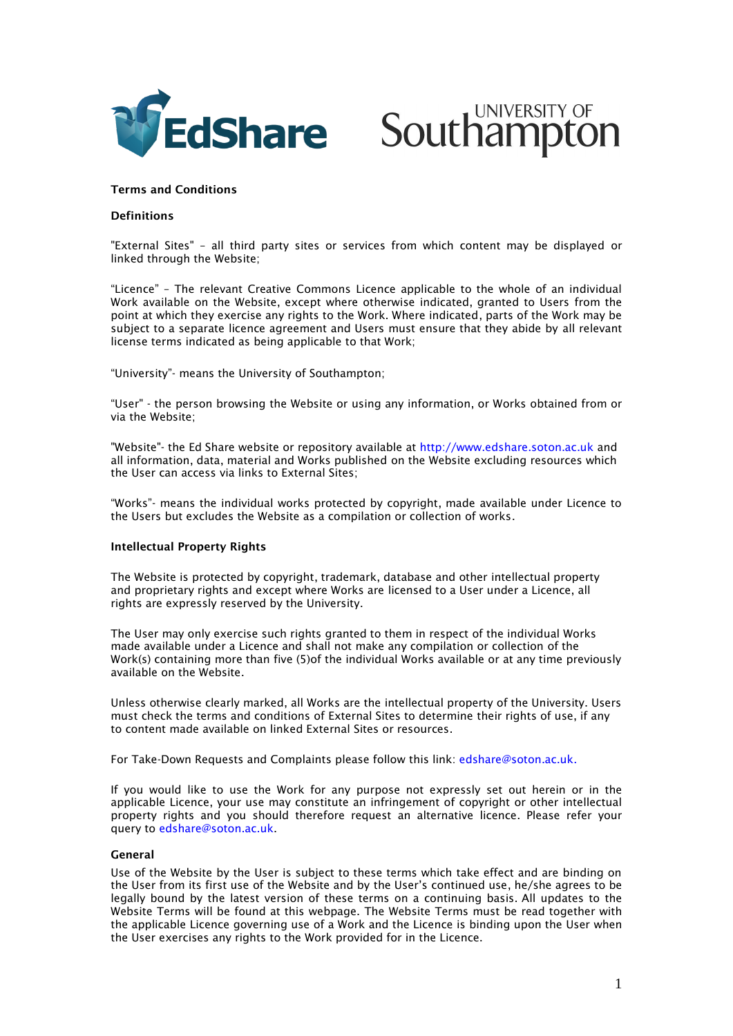



# **Terms and Conditions**

### **Definitions**

"External Sites" – all third party sites or services from which content may be displayed or linked through the Website;

"Licence" – The relevant Creative Commons Licence applicable to the whole of an individual Work available on the Website, except where otherwise indicated, granted to Users from the point at which they exercise any rights to the Work. Where indicated, parts of the Work may be subject to a separate licence agreement and Users must ensure that they abide by all relevant license terms indicated as being applicable to that Work;

"University"- means the University of Southampton;

"User" - the person browsing the Website or using any information, or Works obtained from or via the Website;

"Website"- the Ed Share website or repository available at [http://www.edshare.soton.ac.uk](http://www.edshare.soton.ac.uk/) and all information, data, material and Works published on the Website excluding resources which the User can access via links to External Sites;

"Works"- means the individual works protected by copyright, made available under Licence to the Users but excludes the Website as a compilation or collection of works.

#### **Intellectual Property Rights**

The Website is protected by copyright, trademark, database and other intellectual property and proprietary rights and except where Works are licensed to a User under a Licence, all rights are expressly reserved by the University.

The User may only exercise such rights granted to them in respect of the individual Works made available under a Licence and shall not make any compilation or collection of the Work(s) containing more than five (5)of the individual Works available or at any time previously available on the Website.

Unless otherwise clearly marked, all Works are the intellectual property of the University. Users must check the terms and conditions of External Sites to determine their rights of use, if any to content made available on linked External Sites or resources.

For Take-Down Requests and Complaints please follow this link: [edshare@soton.ac.uk.](mailto:edshare@soton.ac.uk)

If you would like to use the Work for any purpose not expressly set out herein or in the applicable Licence, your use may constitute an infringement of copyright or other intellectual property rights and you should therefore request an alternative licence. Please refer your query to [edshare@soton.ac.uk.](mailto:edshare@soton.ac.uk)

#### **General**

Use of the Website by the User is subject to these terms which take effect and are binding on the User from its first use of the Website and by the User's continued use, he/she agrees to be legally bound by the latest version of these terms on a continuing basis. All updates to the Website Terms will be found at this webpage. The Website Terms must be read together with the applicable Licence governing use of a Work and the Licence is binding upon the User when the User exercises any rights to the Work provided for in the Licence.